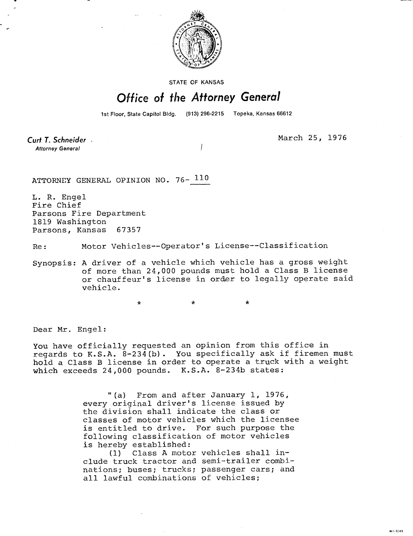

STATE OF KANSAS

## Office of the Attorney General

1st Floor, State Capitol Bldg. (913) 296-2215 Topeka, Kansas 66612

Curt T. Schneider **Attorney General** 

March 25, 1976

ATTORNEY GENERAL OPINION NO. 76- 110

L. R. Engel Fire Chief Parsons Fire Department 1819 Washington Parsons, Kansas 67357

Re: Motor Vehicles--Operator's License--Classification

Synopsis: A driver of a vehicle which vehicle has a gross weight of more than 24,000 pounds must hold a Class B license or chauffeur's license in order to legally operate said vehicle.

\* \*

Dear Mr. Engel:

You have officially requested an opinion from this office in regards to K.S.A. 8-234(b). You specifically ask if firemen must hold a Class B license in order to operate a truck with a weight which exceeds 24,000 pounds. K.S.A. 8-234b states:

> "(a) From and after January 1, 1976, every original driver's license issued by the division shall indicate the class or classes of motor vehicles which the licensee is entitled to drive. For such purpose the following classification of motor vehicles is hereby established:

(1) Class A motor vehicles shall include truck tractor and semi-trailer combinations; buses; trucks; passenger cars; and all lawful combinations of vehicles;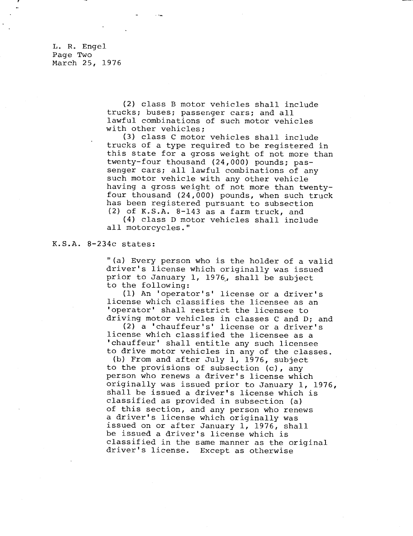L. R. Engel Page Two March 25, 1976

> (2) class B motor vehicles shall include trucks; buses; passenger cars; and all lawful combinations of such motor vehicles with other vehicles;

(3) class C motor vehicles shall include trucks of a type required to be registered in this state for a gross weight of not more than twenty-four thousand (24,000) pounds; passenger cars; all lawful combinations of any such motor vehicle with any other vehicle having a gross weight of not more than twentyfour thousand (24,000) pounds, when such truck has been registered pursuant to subsection (2) of K.S.A. 8-143 as a farm truck, and

(4) class D motor vehicles shall include all motorcycles."

## K.S.A. 8-234c states:

"(a) Every person who is the holder of a valid driver's license which originally was issued prior to January 1, 1976, shall be subject to the following:

(1) An 'operator's' license or a driver's license which classifies the licensee as an 'operator' shall restrict the licensee to driving motor vehicles in classes C and D; and

(2) a 'chauffeur's' license or a driver's license which classified the licensee as a ' chauffeur' shall entitle any such licensee to drive motor vehicles in any of the classes.

(b) From and after July 1, 1976, subject to the provisions of subsection (c), any person who renews a driver's license which originally was issued prior to January 1, 1976, shall be issued a driver's license which is classified as provided in subsection (a) of this section, and any person who renews a driver's license which originally was issued on or after January 1, 1976, shall be issued a driver's license which is classified in the same manner as the original driver's license. Except as otherwise